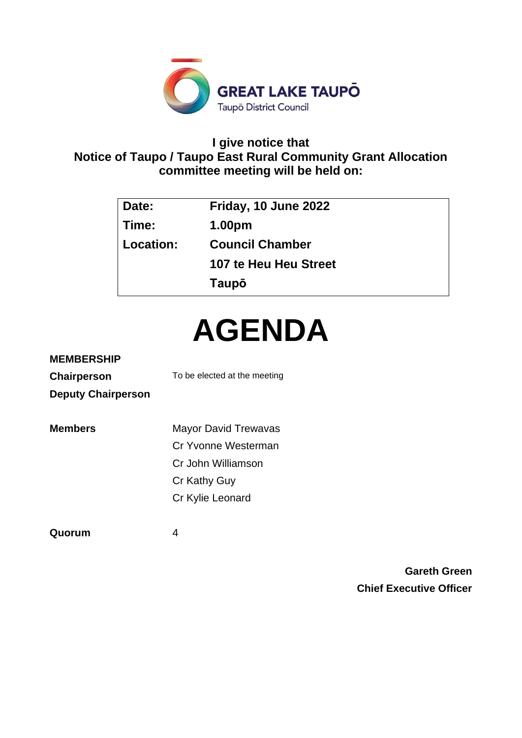

# **I give notice that Notice of Taupo / Taupo East Rural Community Grant Allocation committee meeting will be held on:**

| Date:     | Friday, 10 June 2022   |
|-----------|------------------------|
| Time:     | 1.00pm                 |
| Location: | <b>Council Chamber</b> |
|           | 107 te Heu Heu Street  |
|           | Taupō                  |

# **AGENDA**

# **MEMBERSHIP**

**Chairperson** To be elected at the meeting **Deputy Chairperson**

**Members** Mayor David Trewavas Cr Yvonne Westerman Cr John Williamson Cr Kathy Guy Cr Kylie Leonard

**Quorum** 4

**Gareth Green Chief Executive Officer**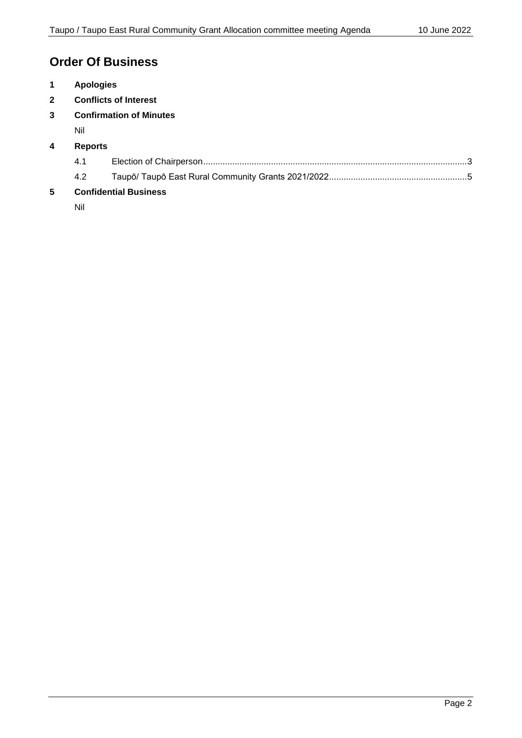# **Order Of Business**

|  | <b>Apologies</b> |
|--|------------------|
|  |                  |

- **2 Conflicts of Interest**
- **3 Confirmation of Minutes**

Nil

| 4 | <b>Reports</b> |
|---|----------------|
|   |                |

| 4.1 |  |
|-----|--|
| 4.2 |  |

# **5 Confidential Business**

Nil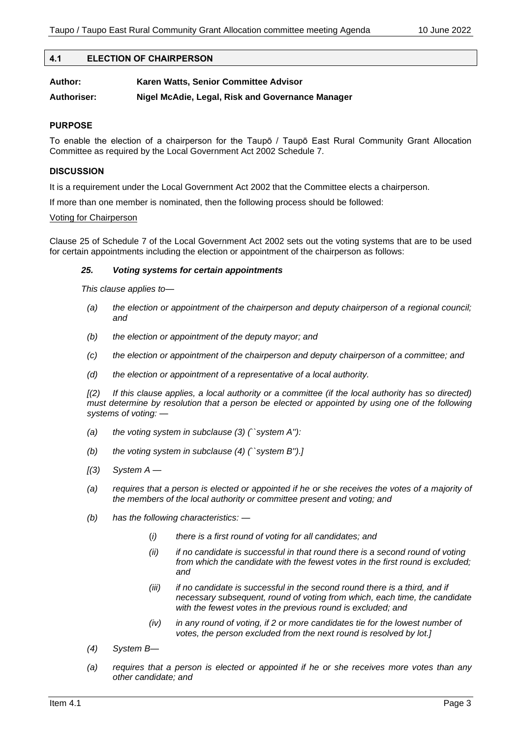# <span id="page-2-0"></span>**4.1 ELECTION OF CHAIRPERSON**

| Author:     | Karen Watts, Senior Committee Advisor            |
|-------------|--------------------------------------------------|
| Authoriser: | Nigel McAdie, Legal, Risk and Governance Manager |

## **PURPOSE**

To enable the election of a chairperson for the Taupō / Taupō East Rural Community Grant Allocation Committee as required by the Local Government Act 2002 Schedule 7.

## **DISCUSSION**

It is a requirement under the Local Government Act 2002 that the Committee elects a chairperson.

If more than one member is nominated, then the following process should be followed:

## Voting for Chairperson

Clause 25 of Schedule 7 of the Local Government Act 2002 sets out the voting systems that are to be used for certain appointments including the election or appointment of the chairperson as follows:

# *25. Voting systems for certain appointments*

*This clause applies to—*

- *(a) the election or appointment of the chairperson and deputy chairperson of a regional council; and*
- *(b) the election or appointment of the deputy mayor; and*
- *(c) the election or appointment of the chairperson and deputy chairperson of a committee; and*
- *(d) the election or appointment of a representative of a local authority.*

*[(2) If this clause applies, a local authority or a committee (if the local authority has so directed) must determine by resolution that a person be elected or appointed by using one of the following systems of voting: —*

- *(a) the voting system in subclause (3) (``system A''):*
- *(b) the voting system in subclause (4) (``system B'').]*
- *[(3) System A —*
- *(a) requires that a person is elected or appointed if he or she receives the votes of a majority of the members of the local authority or committee present and voting; and*
- *(b) has the following characteristics: —*
	- (*i) there is a first round of voting for all candidates; and*
	- *(ii) if no candidate is successful in that round there is a second round of voting from which the candidate with the fewest votes in the first round is excluded; and*
	- *(iii) if no candidate is successful in the second round there is a third, and if necessary subsequent, round of voting from which, each time, the candidate with the fewest votes in the previous round is excluded; and*
	- *(iv) in any round of voting, if 2 or more candidates tie for the lowest number of votes, the person excluded from the next round is resolved by lot.]*
- *(4) System B—*
- *(a) requires that a person is elected or appointed if he or she receives more votes than any other candidate; and*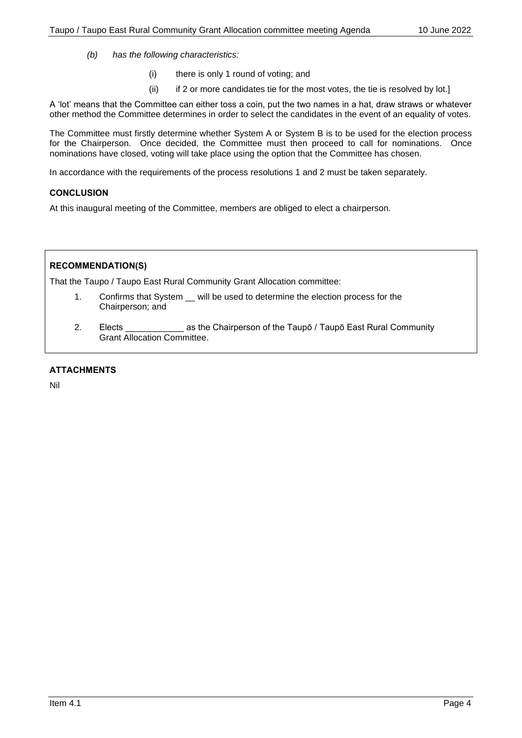- *(b) has the following characteristics:*
	- (i) there is only 1 round of voting; and
	- (ii) if 2 or more candidates tie for the most votes, the tie is resolved by lot.]

A 'lot' means that the Committee can either toss a coin, put the two names in a hat, draw straws or whatever other method the Committee determines in order to select the candidates in the event of an equality of votes.

The Committee must firstly determine whether System A or System B is to be used for the election process for the Chairperson. Once decided, the Committee must then proceed to call for nominations. Once nominations have closed, voting will take place using the option that the Committee has chosen.

In accordance with the requirements of the process resolutions 1 and 2 must be taken separately.

# **CONCLUSION**

At this inaugural meeting of the Committee, members are obliged to elect a chairperson.

# **RECOMMENDATION(S)**

That the Taupo / Taupo East Rural Community Grant Allocation committee:

- 1. Confirms that System \_\_ will be used to determine the election process for the Chairperson; and
- **2.** 2. Elects \_\_\_\_\_\_\_\_\_\_\_\_ as the Chairperson of the Taupō / Taupō East Rural Community Grant Allocation Committee.

# **ATTACHMENTS**

Nil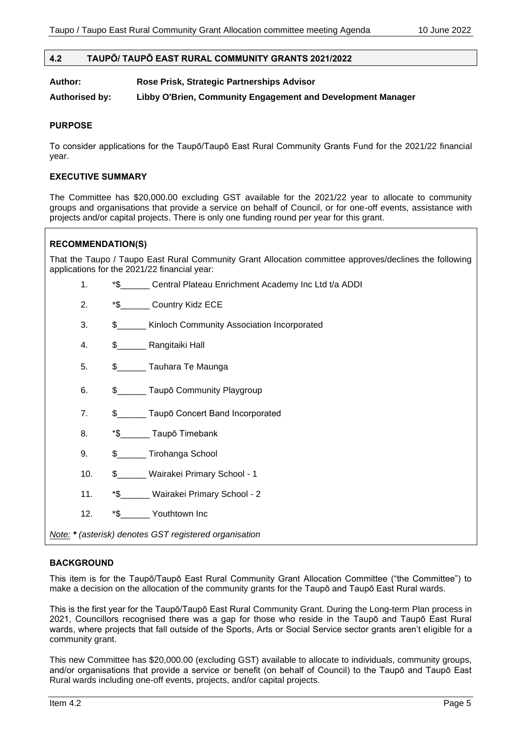# <span id="page-4-0"></span>**4.2 TAUPŌ/ TAUPŌ EAST RURAL COMMUNITY GRANTS 2021/2022**

# **Author: Rose Prisk, Strategic Partnerships Advisor**

# **Authorised by: Libby O'Brien, Community Engagement and Development Manager**

# **PURPOSE**

To consider applications for the Taupō/Taupō East Rural Community Grants Fund for the 2021/22 financial year.

# **EXECUTIVE SUMMARY**

The Committee has \$20,000.00 excluding GST available for the 2021/22 year to allocate to community groups and organisations that provide a service on behalf of Council, or for one-off events, assistance with projects and/or capital projects. There is only one funding round per year for this grant.

# **RECOMMENDATION(S)**

That the Taupo / Taupo East Rural Community Grant Allocation committee approves/declines the following applications for the 2021/22 financial year:

- 1. \*S Central Plateau Enrichment Academy Inc Ltd t/a ADDI
- 2. \*\$ Country Kidz ECE
- 3. \$\_\_\_\_\_\_ Kinloch Community Association Incorporated
- 4. \$\_\_\_\_\_\_ Rangitaiki Hall
- 5. \$\_\_\_\_\_\_ Tauhara Te Maunga
- 6. \$ Taupō Community Playgroup
- 7. \$ Taupō Concert Band Incorporated
- 8. **\*\$** \_\_\_\_\_ Taupō Timebank
- 9. \$\_\_\_\_\_\_ Tirohanga School
- 10. \$ Wairakei Primary School 1
- 11. \*\$\_\_\_\_\_\_ Wairakei Primary School 2
- 12. \*\$ Youthtown Inc

*Note: \* (asterisk) denotes GST registered organisation*

# **BACKGROUND**

This item is for the Taupō/Taupō East Rural Community Grant Allocation Committee ("the Committee") to make a decision on the allocation of the community grants for the Taupō and Taupō East Rural wards.

This is the first year for the Taupō/Taupō East Rural Community Grant. During the Long-term Plan process in 2021, Councillors recognised there was a gap for those who reside in the Taupō and Taupō East Rural wards, where projects that fall outside of the Sports. Arts or Social Service sector grants aren't eligible for a community grant.

This new Committee has \$20,000.00 (excluding GST) available to allocate to individuals, community groups, and/or organisations that provide a service or benefit (on behalf of Council) to the Taupō and Taupō East Rural wards including one-off events, projects, and/or capital projects.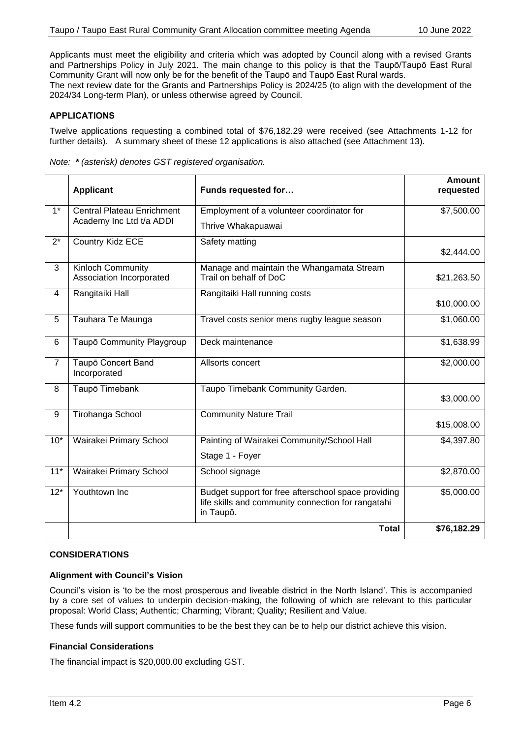Applicants must meet the eligibility and criteria which was adopted by Council along with a revised Grants and Partnerships Policy in July 2021. The main change to this policy is that the Taupō/Taupō East Rural Community Grant will now only be for the benefit of the Taupō and Taupō East Rural wards.

The next review date for the Grants and Partnerships Policy is 2024/25 (to align with the development of the 2024/34 Long-term Plan), or unless otherwise agreed by Council.

# **APPLICATIONS**

Twelve applications requesting a combined total of \$76,182.29 were received (see Attachments 1-12 for further details). A summary sheet of these 12 applications is also attached (see Attachment 13).

|  |  | Note: * (asterisk) denotes GST registered organisation. |
|--|--|---------------------------------------------------------|
|  |  |                                                         |

|                | <b>Applicant</b>                                     | Funds requested for                                                                                                    | <b>Amount</b><br>requested |
|----------------|------------------------------------------------------|------------------------------------------------------------------------------------------------------------------------|----------------------------|
| $1^*$          | <b>Central Plateau Enrichment</b>                    | Employment of a volunteer coordinator for                                                                              | \$7,500.00                 |
|                | Academy Inc Ltd t/a ADDI                             | Thrive Whakapuawai                                                                                                     |                            |
| $2^*$          | Country Kidz ECE                                     | Safety matting                                                                                                         | \$2,444.00                 |
| 3              | <b>Kinloch Community</b><br>Association Incorporated | Manage and maintain the Whangamata Stream<br>Trail on behalf of DoC                                                    | \$21,263.50                |
| 4              | Rangitaiki Hall                                      | Rangitaiki Hall running costs                                                                                          | \$10,000.00                |
| 5              | Tauhara Te Maunga                                    | Travel costs senior mens rugby league season                                                                           | \$1,060.00                 |
| 6              | Taupō Community Playgroup                            | Deck maintenance                                                                                                       | \$1,638.99                 |
| $\overline{7}$ | Taupō Concert Band<br>Incorporated                   | Allsorts concert                                                                                                       | \$2,000.00                 |
| 8              | Taupō Timebank                                       | Taupo Timebank Community Garden.                                                                                       | \$3,000.00                 |
| 9              | Tirohanga School                                     | <b>Community Nature Trail</b>                                                                                          | \$15,008.00                |
| $10*$          | Wairakei Primary School                              | Painting of Wairakei Community/School Hall<br>Stage 1 - Foyer                                                          | \$4,397.80                 |
| $11*$          | Wairakei Primary School                              | School signage                                                                                                         | \$2,870.00                 |
| $12*$          | Youthtown Inc                                        | Budget support for free afterschool space providing<br>life skills and community connection for rangatahi<br>in Taupō. | \$5,000.00                 |
|                |                                                      | <b>Total</b>                                                                                                           | \$76,182.29                |

# **CONSIDERATIONS**

# **Alignment with Council's Vision**

Council's vision is 'to be the most prosperous and liveable district in the North Island'. This is accompanied by a core set of values to underpin decision-making, the following of which are relevant to this particular proposal: World Class; Authentic; Charming; Vibrant; Quality; Resilient and Value.

These funds will support communities to be the best they can be to help our district achieve this vision.

## **Financial Considerations**

The financial impact is \$20,000.00 excluding GST.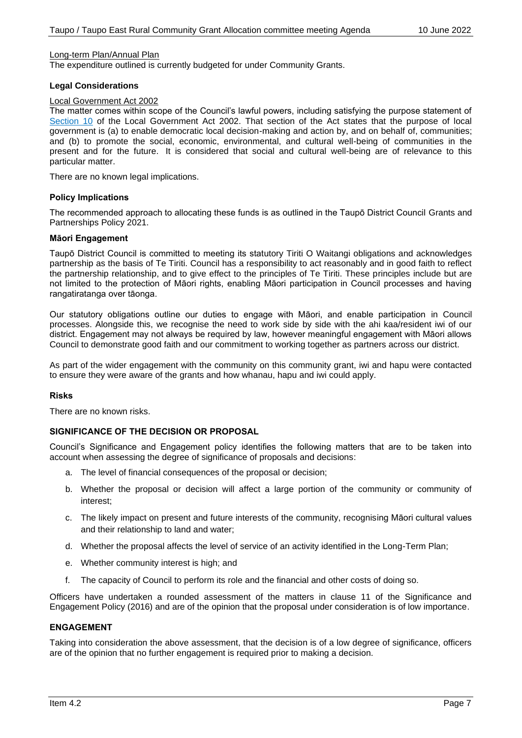# Long-term Plan/Annual Plan

The expenditure outlined is currently budgeted for under Community Grants.

# **Legal Considerations**

## Local Government Act 2002

The matter comes within scope of the Council's lawful powers, including satisfying the purpose statement of [Section 10](http://www.legislation.govt.nz/act/public/2002/0084/latest/DLM171803.html?search=qs_act%40bill%40regulation%40deemedreg_local+government+act_resel_25_h&p=1) of the Local Government Act 2002. That section of the Act states that the purpose of local government is (a) to enable democratic local decision-making and action by, and on behalf of, communities; and (b) to promote the social, economic, environmental, and cultural well-being of communities in the present and for the future. It is considered that social and cultural well-being are of relevance to this particular matter.

There are no known legal implications.

## **Policy Implications**

The recommended approach to allocating these funds is as outlined in the Taupō District Council Grants and Partnerships Policy 2021.

## **Māori Engagement**

Taupō District Council is committed to meeting its statutory Tiriti O Waitangi obligations and acknowledges partnership as the basis of Te Tiriti. Council has a responsibility to act reasonably and in good faith to reflect the partnership relationship, and to give effect to the principles of Te Tiriti. These principles include but are not limited to the protection of Māori rights, enabling Māori participation in Council processes and having rangatiratanga over tāonga.

Our statutory obligations outline our duties to engage with Māori, and enable participation in Council processes. Alongside this, we recognise the need to work side by side with the ahi kaa/resident iwi of our district. Engagement may not always be required by law, however meaningful engagement with Māori allows Council to demonstrate good faith and our commitment to working together as partners across our district.

As part of the wider engagement with the community on this community grant, iwi and hapu were contacted to ensure they were aware of the grants and how whanau, hapu and iwi could apply.

## **Risks**

There are no known risks.

# **SIGNIFICANCE OF THE DECISION OR PROPOSAL**

Council's Significance and Engagement policy identifies the following matters that are to be taken into account when assessing the degree of significance of proposals and decisions:

- a. The level of financial consequences of the proposal or decision;
- b. Whether the proposal or decision will affect a large portion of the community or community of interest;
- c. The likely impact on present and future interests of the community, recognising Māori cultural values and their relationship to land and water;
- d. Whether the proposal affects the level of service of an activity identified in the Long-Term Plan;
- e. Whether community interest is high; and
- f. The capacity of Council to perform its role and the financial and other costs of doing so.

Officers have undertaken a rounded assessment of the matters in clause 11 of the Significance and Engagement Policy (2016) and are of the opinion that the proposal under consideration is of low importance.

# **ENGAGEMENT**

Taking into consideration the above assessment, that the decision is of a low degree of significance, officers are of the opinion that no further engagement is required prior to making a decision.